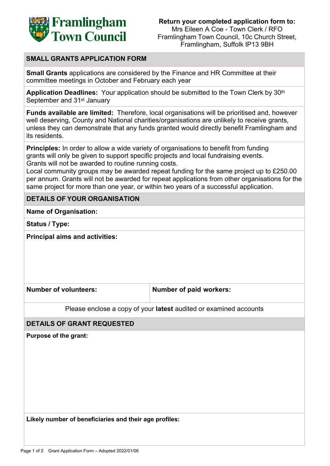

## **SMALL GRANTS APPLICATION FORM**

**Small Grants** applications are considered by the Finance and HR Committee at their committee meetings in October and February each year

**Application Deadlines:** Your application should be submitted to the Town Clerk by 30th September and 31<sup>st</sup> January

**Funds available are limited:** Therefore, local organisations will be prioritised and, however well deserving, County and National charities/organisations are unlikely to receive grants, unless they can demonstrate that any funds granted would directly benefit Framlingham and its residents.

**Principles:** In order to allow a wide variety of organisations to benefit from funding grants will only be given to support specific projects and local fundraising events. Grants will not be awarded to routine running costs.

Local community groups may be awarded repeat funding for the same project up to £250.00 per annum. Grants will not be awarded for repeat applications from other organisations for the same project for more than one year, or within two years of a successful application.

## **DETAILS OF YOUR ORGANISATION**

**Name of Organisation:**

**Status / Type:**

**Principal aims and activities:**

**Number of volunteers: Number of paid workers:**

Please enclose a copy of your **latest** audited or examined accounts

## **DETAILS OF GRANT REQUESTED**

**Purpose of the grant:**

**Likely number of beneficiaries and their age profiles:**